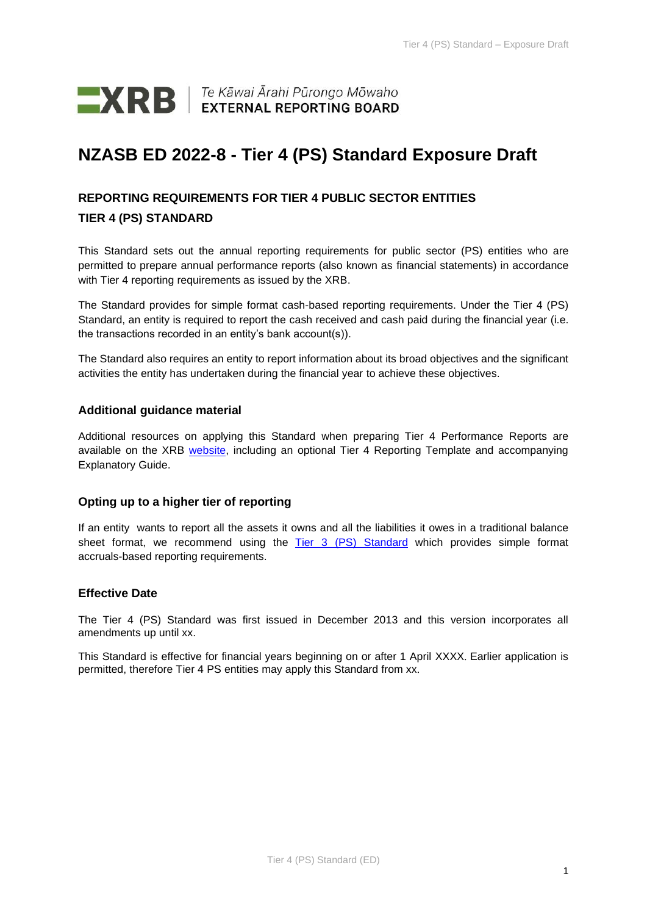

# **NZASB ED 2022-8 - Tier 4 (PS) Standard Exposure Draft**

# **REPORTING REQUIREMENTS FOR TIER 4 PUBLIC SECTOR ENTITIES TIER 4 (PS) STANDARD**

This Standard sets out the annual reporting requirements for public sector (PS) entities who are permitted to prepare annual performance reports (also known as financial statements) in accordance with Tier 4 reporting requirements as issued by the XRB.

The Standard provides for simple format cash-based reporting requirements. Under the Tier 4 (PS) Standard, an entity is required to report the cash received and cash paid during the financial year (i.e. the transactions recorded in an entity's bank account(s)).

The Standard also requires an entity to report information about its broad objectives and the significant activities the entity has undertaken during the financial year to achieve these objectives.

## **Additional guidance material**

Additional resources on applying this Standard when preparing Tier 4 Performance Reports are available on the XRB [website,](https://www.xrb.govt.nz/standards/accounting-standards/public-sector-standards/tier-4/) including an optional Tier 4 Reporting Template and accompanying Explanatory Guide.

# **Opting up to a higher tier of reporting**

If an entity wants to report all the assets it owns and all the liabilities it owes in a traditional balance sheet format, we recommend using the [Tier 3 \(PS\) Standard](https://www.xrb.govt.nz/standards/accounting-standards/public-sector-standards/tier-3/) which provides simple format accruals-based reporting requirements.

### **Effective Date**

The Tier 4 (PS) Standard was first issued in December 2013 and this version incorporates all amendments up until xx.

This Standard is effective for financial years beginning on or after 1 April XXXX. Earlier application is permitted, therefore Tier 4 PS entities may apply this Standard from xx.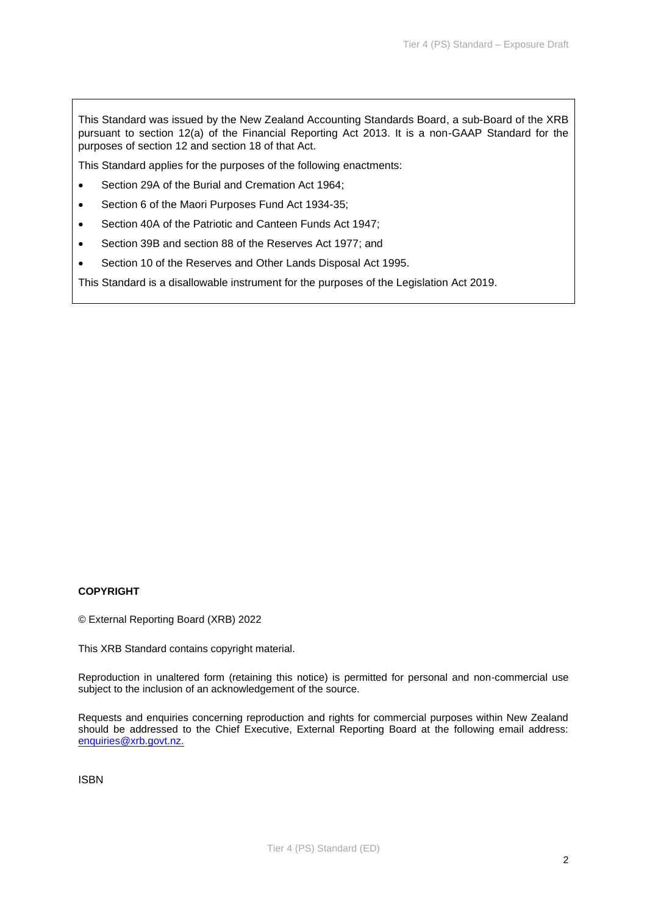This Standard was issued by the New Zealand Accounting Standards Board, a sub-Board of the XRB pursuant to section 12(a) of the Financial Reporting Act 2013. It is a non-GAAP Standard for the purposes of section 12 and section 18 of that Act.

This Standard applies for the purposes of the following enactments:

- Section 29A of the Burial and Cremation Act 1964;
- Section 6 of the Maori Purposes Fund Act 1934-35;
- Section 40A of the Patriotic and Canteen Funds Act 1947;
- Section 39B and section 88 of the Reserves Act 1977; and
- Section 10 of the Reserves and Other Lands Disposal Act 1995.

This Standard is a disallowable instrument for the purposes of the Legislation Act 2019.

### **COPYRIGHT**

© External Reporting Board (XRB) 2022

This XRB Standard contains copyright material.

Reproduction in unaltered form (retaining this notice) is permitted for personal and non-commercial use subject to the inclusion of an acknowledgement of the source.

Requests and enquiries concerning reproduction and rights for commercial purposes within New Zealand should be addressed to the Chief Executive, External Reporting Board at the following email address: [enquiries@xrb.govt.nz.](mailto:enquiries@xrb.govt.nz)

ISBN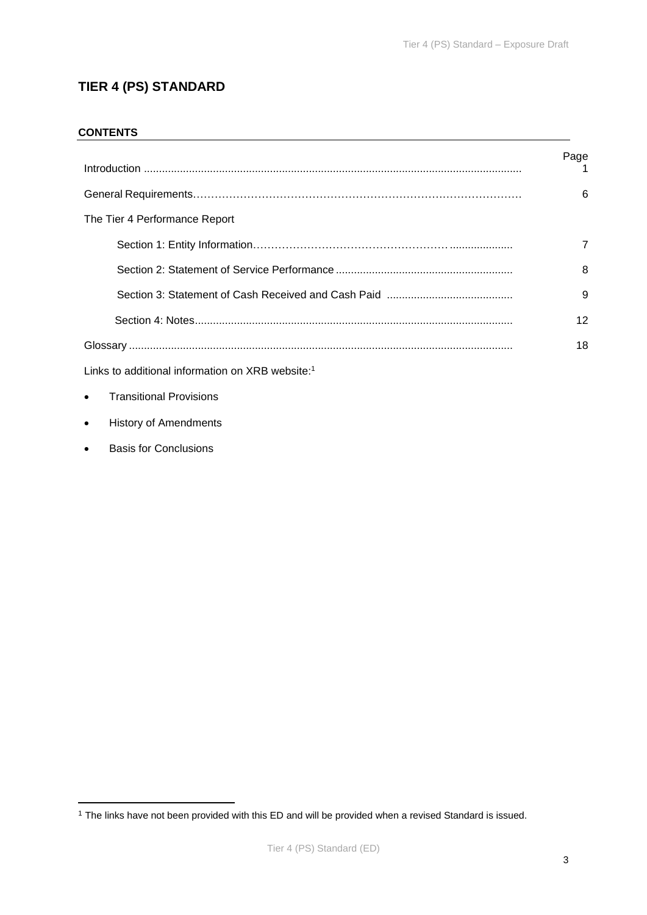# **TIER 4 (PS) STANDARD**

## **CONTENTS**

|                               | Page<br>1 |
|-------------------------------|-----------|
|                               | 6         |
| The Tier 4 Performance Report |           |
|                               | 7         |
|                               | 8         |
|                               | 9         |
|                               | 12        |
|                               | 18        |
|                               |           |

Links to additional information on XRB website: 1

- Transitional Provisions
- History of Amendments
- Basis for Conclusions

<sup>1</sup> The links have not been provided with this ED and will be provided when a revised Standard is issued.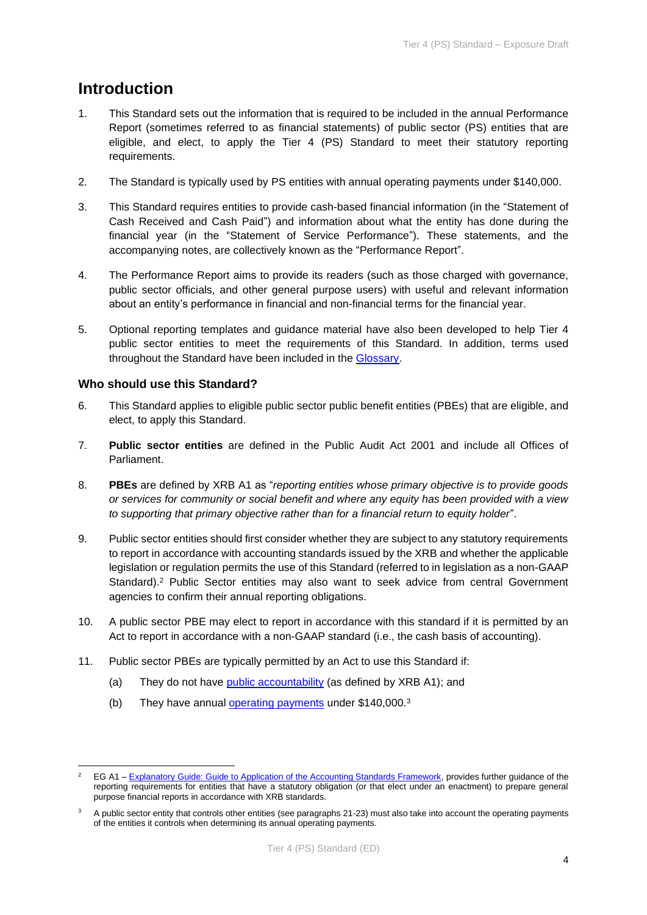# **Introduction**

- 1. This Standard sets out the information that is required to be included in the annual Performance Report (sometimes referred to as financial statements) of public sector (PS) entities that are eligible, and elect, to apply the Tier 4 (PS) Standard to meet their statutory reporting requirements.
- 2. The Standard is typically used by PS entities with annual operating payments under \$140,000.
- 3. This Standard requires entities to provide cash-based financial information (in the "Statement of Cash Received and Cash Paid") and information about what the entity has done during the financial year (in the "Statement of Service Performance"). These statements, and the accompanying notes, are collectively known as the "Performance Report".
- 4. The Performance Report aims to provide its readers (such as those charged with governance, public sector officials, and other general purpose users) with useful and relevant information about an entity's performance in financial and non-financial terms for the financial year.
- 5. Optional reporting templates and guidance material have also been developed to help Tier 4 public sector entities to meet the requirements of this Standard. In addition, terms used throughout the Standard have been included in the [Glossary.](#page-17-0)

# **Who should use this Standard?**

- 6. This Standard applies to eligible public sector public benefit entities (PBEs) that are eligible, and elect, to apply this Standard.
- 7. **Public sector entities** are defined in the Public Audit Act 2001 and include all Offices of Parliament.
- 8. **PBEs** are defined by XRB A1 as "*reporting entities whose primary objective is to provide goods or services for community or social benefit and where any equity has been provided with a view to supporting that primary objective rather than for a financial return to equity holder*".
- 9. Public sector entities should first consider whether they are subject to any statutory requirements to report in accordance with accounting standards issued by the XRB and whether the applicable legislation or regulation permits the use of this Standard (referred to in legislation as a non-GAAP Standard). <sup>2</sup> Public Sector entities may also want to seek advice from central Government agencies to confirm their annual reporting obligations.
- 10. A public sector PBE may elect to report in accordance with this standard if it is permitted by an Act to report in accordance with a non-GAAP standard (i.e., the cash basis of accounting).
- 11. Public sector PBEs are typically permitted by an Act to use this Standard if:
	- (a) They do not have [public accountability](#page-18-0) (as defined by XRB A1); and
	- (b) They have annual [operating payments](#page-17-1) under \$140,000.<sup>3</sup>

EG A1 – [Explanatory Guide: Guide to Application of the Accounting Standards Framework,](https://www.xrb.govt.nz/standards/accounting-standards/public-sector-standards/standards-list/explanatory-guide-eg-a1/) provides further guidance of the reporting requirements for entities that have a statutory obligation (or that elect under an enactment) to prepare general purpose financial reports in accordance with XRB standards.

A public sector entity that controls other entities (see paragraphs 21-23) must also take into account the operating payments of the entities it controls when determining its annual operating payments.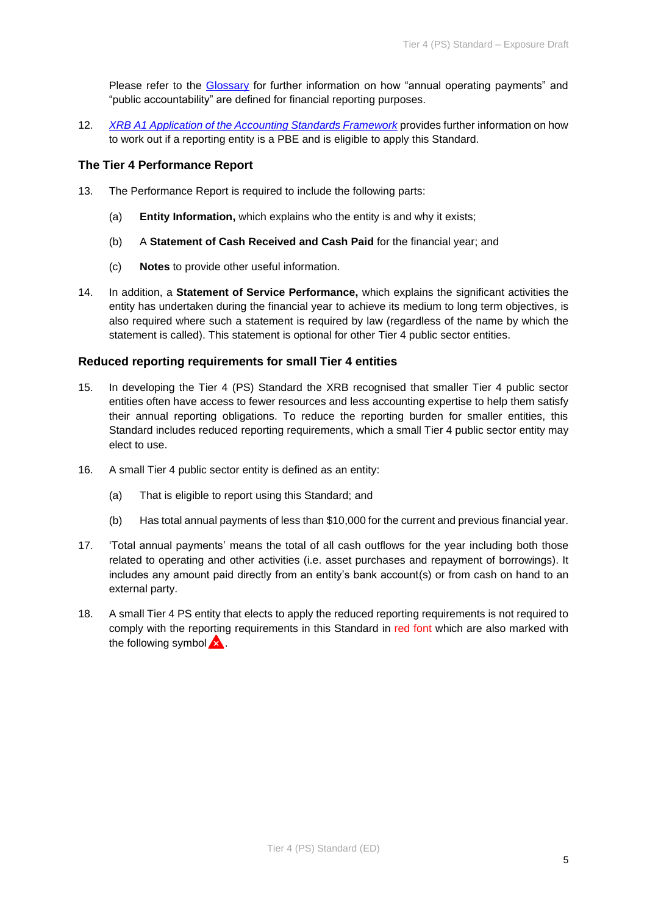Please refer to the [Glossary](#page-17-0) for further information on how "annual operating payments" and "public accountability" are defined for financial reporting purposes.

12. *[XRB A1 Application of the Accounting Standards Framework](https://www.xrb.govt.nz/accounting-standards/for-profit-entities/xrb-a1/)* provides further information on how to work out if a reporting entity is a PBE and is eligible to apply this Standard.

### **The Tier 4 Performance Report**

- 13. The Performance Report is required to include the following parts:
	- (a) **Entity Information,** which explains who the entity is and why it exists;
	- (b) A **Statement of Cash Received and Cash Paid** for the financial year; and
	- (c) **Notes** to provide other useful information.
- 14. In addition, a **Statement of Service Performance,** which explains the significant activities the entity has undertaken during the financial year to achieve its medium to long term objectives, is also required where such a statement is required by law (regardless of the name by which the statement is called). This statement is optional for other Tier 4 public sector entities.

## **Reduced reporting requirements for small Tier 4 entities**

- 15. In developing the Tier 4 (PS) Standard the XRB recognised that smaller Tier 4 public sector entities often have access to fewer resources and less accounting expertise to help them satisfy their annual reporting obligations. To reduce the reporting burden for smaller entities, this Standard includes reduced reporting requirements, which a small Tier 4 public sector entity may elect to use.
- 16. A small Tier 4 public sector entity is defined as an entity:
	- (a) That is eligible to report using this Standard; and
	- (b) Has total annual payments of less than \$10,000 for the current and previous financial year.
- 17. 'Total annual payments' means the total of all cash outflows for the year including both those related to operating and other activities (i.e. asset purchases and repayment of borrowings). It includes any amount paid directly from an entity's bank account(s) or from cash on hand to an external party.
- 18. A small Tier 4 PS entity that elects to apply the reduced reporting requirements is not required to comply with the reporting requirements in this Standard in red font which are also marked with the following symbol  $\mathbf{\hat{x}}$ .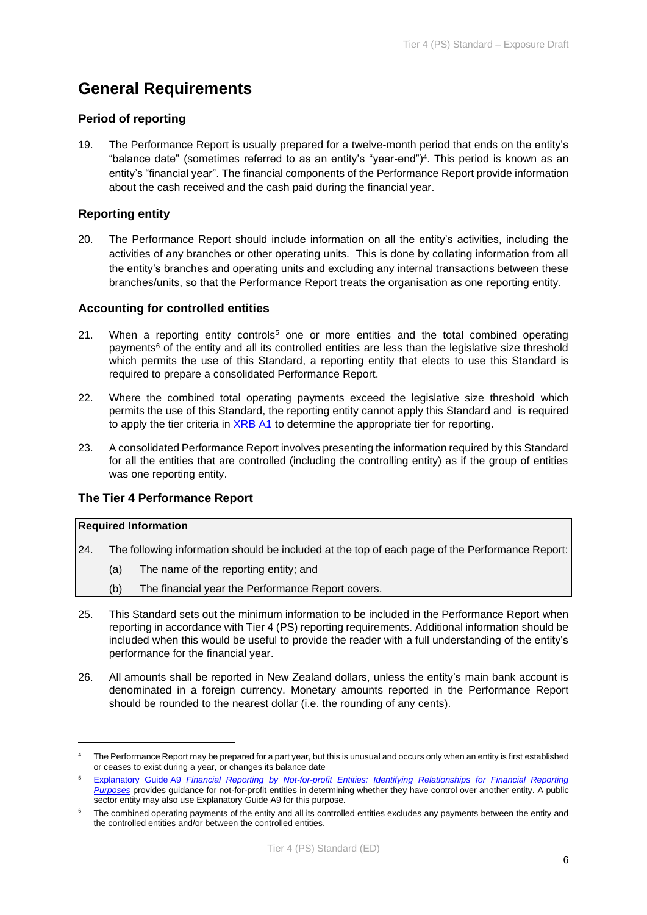# **General Requirements**

## **Period of reporting**

19. The Performance Report is usually prepared for a twelve-month period that ends on the entity's "balance date" (sometimes referred to as an entity's "year-end")<sup>4</sup> . This period is known as an entity's "financial year". The financial components of the Performance Report provide information about the cash received and the cash paid during the financial year.

# **Reporting entity**

20. The Performance Report should include information on all the entity's activities, including the activities of any branches or other operating units. This is done by collating information from all the entity's branches and operating units and excluding any internal transactions between these branches/units, so that the Performance Report treats the organisation as one reporting entity.

## **Accounting for controlled entities**

- 21. When a reporting entity controls<sup>5</sup> one or more entities and the total combined operating payments<sup>6</sup> of the entity and all its controlled entities are less than the legislative size threshold which permits the use of this Standard, a reporting entity that elects to use this Standard is required to prepare a consolidated Performance Report.
- 22. Where the combined total operating payments exceed the legislative size threshold which permits the use of this Standard, the reporting entity cannot apply this Standard and is required to apply the tier criteria in [XRB A1](https://www.xrb.govt.nz/standards/accounting-standards/for-profit-standards/standards-list/xrb-a1/) to determine the appropriate tier for reporting.
- 23. A consolidated Performance Report involves presenting the information required by this Standard for all the entities that are controlled (including the controlling entity) as if the group of entities was one reporting entity.

### **The Tier 4 Performance Report**

### **Required Information**

- 24. The following information should be included at the top of each page of the Performance Report:
	- (a) The name of the reporting entity; and
	- (b) The financial year the Performance Report covers.
- 25. This Standard sets out the minimum information to be included in the Performance Report when reporting in accordance with Tier 4 (PS) reporting requirements. Additional information should be included when this would be useful to provide the reader with a full understanding of the entity's performance for the financial year.
- 26. All amounts shall be reported in New Zealand dollars, unless the entity's main bank account is denominated in a foreign currency. Monetary amounts reported in the Performance Report should be rounded to the nearest dollar (i.e. the rounding of any cents).

The Performance Report may be prepared for a part year, but this is unusual and occurs only when an entity is first established or ceases to exist during a year, or changes its balance date

<sup>5</sup> Explanatory Guide A9 *[Financial Reporting by Not-for-profit Entities: Identifying Relationships for Financial Reporting](https://www.xrb.govt.nz/standards/accounting-standards/not-for-profit-standards/standards-list/eg-a9/)  [Purposes](https://www.xrb.govt.nz/standards/accounting-standards/not-for-profit-standards/standards-list/eg-a9/)* provides guidance for not-for-profit entities in determining whether they have control over another entity. A public sector entity may also use Explanatory Guide A9 for this purpose.

The combined operating payments of the entity and all its controlled entities excludes any payments between the entity and the controlled entities and/or between the controlled entities.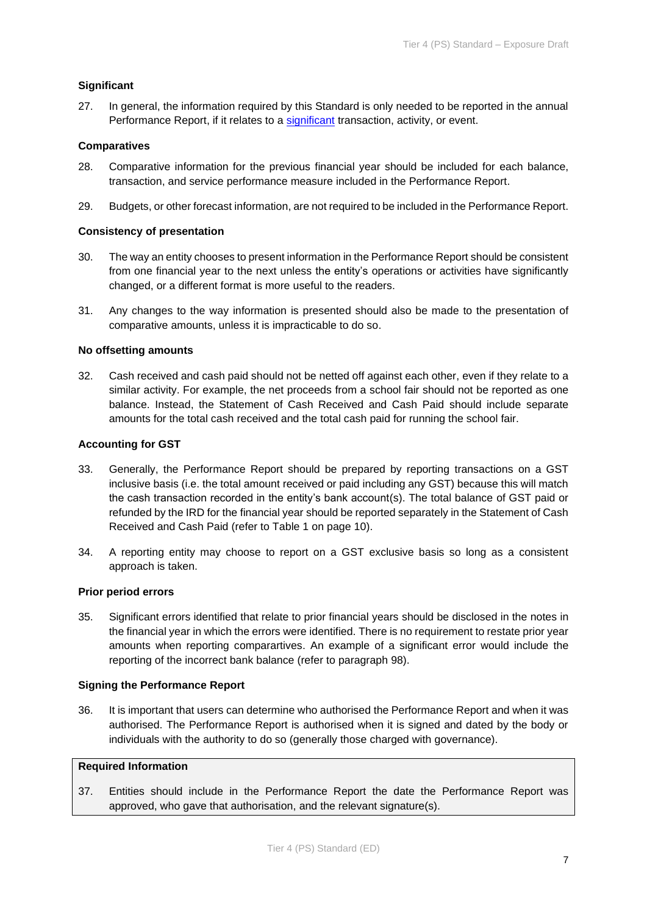## **Significant**

27. In general, the information required by this Standard is only needed to be reported in the annual Performance Report, if it relates to a [significant](#page-18-1) transaction, activity, or event.

### **Comparatives**

- 28. Comparative information for the previous financial year should be included for each balance, transaction, and service performance measure included in the Performance Report.
- 29. Budgets, or other forecast information, are not required to be included in the Performance Report.

### **Consistency of presentation**

- 30. The way an entity chooses to present information in the Performance Report should be consistent from one financial year to the next unless the entity's operations or activities have significantly changed, or a different format is more useful to the readers.
- 31. Any changes to the way information is presented should also be made to the presentation of comparative amounts, unless it is impracticable to do so.

### **No offsetting amounts**

32. Cash received and cash paid should not be netted off against each other, even if they relate to a similar activity. For example, the net proceeds from a school fair should not be reported as one balance. Instead, the Statement of Cash Received and Cash Paid should include separate amounts for the total cash received and the total cash paid for running the school fair.

### **Accounting for GST**

- 33. Generally, the Performance Report should be prepared by reporting transactions on a GST inclusive basis (i.e. the total amount received or paid including any GST) because this will match the cash transaction recorded in the entity's bank account(s). The total balance of GST paid or refunded by the IRD for the financial year should be reported separately in the Statement of Cash Received and Cash Paid (refer to Table 1 on page 10).
- 34. A reporting entity may choose to report on a GST exclusive basis so long as a consistent approach is taken.

### **Prior period errors**

35. Significant errors identified that relate to prior financial years should be disclosed in the notes in the financial year in which the errors were identified. There is no requirement to restate prior year amounts when reporting comparartives. An example of a significant error would include the reporting of the incorrect bank balance (refer to paragraph 98).

#### **Signing the Performance Report**

36. It is important that users can determine who authorised the Performance Report and when it was authorised. The Performance Report is authorised when it is signed and dated by the body or individuals with the authority to do so (generally those charged with governance).

# **Required Information**

37. Entities should include in the Performance Report the date the Performance Report was approved, who gave that authorisation, and the relevant signature(s).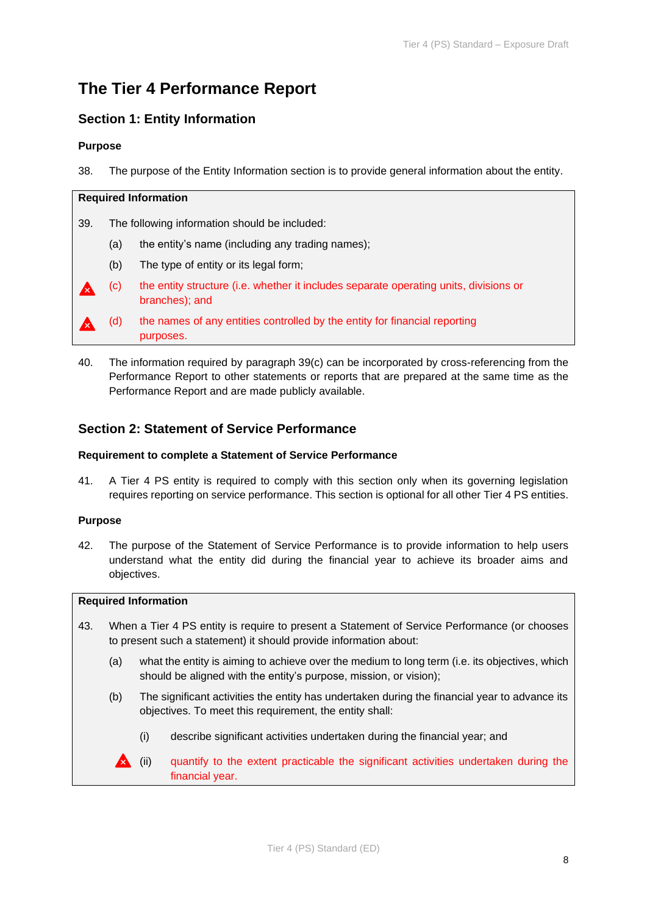# **The Tier 4 Performance Report**

# **Section 1: Entity Information**

### **Purpose**

38. The purpose of the Entity Information section is to provide general information about the entity.

### **Required Information**

39. The following information should be included:

- (a) the entity's name (including any trading names);
- (b) The type of entity or its legal form;
- (c) the entity structure (i.e. whether it includes separate operating units, divisions or branches); and

(d) the names of any entities controlled by the entity for financial reporting purposes.

40. The information required by paragraph 39(c) can be incorporated by cross-referencing from the Performance Report to other statements or reports that are prepared at the same time as the Performance Report and are made publicly available.

# **Section 2: Statement of Service Performance**

### **Requirement to complete a Statement of Service Performance**

41. A Tier 4 PS entity is required to comply with this section only when its governing legislation requires reporting on service performance. This section is optional for all other Tier 4 PS entities.

### **Purpose**

42. The purpose of the Statement of Service Performance is to provide information to help users understand what the entity did during the financial year to achieve its broader aims and objectives.

#### **Required Information**

- 43. When a Tier 4 PS entity is require to present a Statement of Service Performance (or chooses to present such a statement) it should provide information about:
	- (a) what the entity is aiming to achieve over the medium to long term (i.e. its objectives, which should be aligned with the entity's purpose, mission, or vision);
	- (b) The significant activities the entity has undertaken during the financial year to advance its objectives. To meet this requirement, the entity shall:
		- (i) describe significant activities undertaken during the financial year; and
		- **A** (ii) quantify to the extent practicable the significant activities undertaken during the financial year.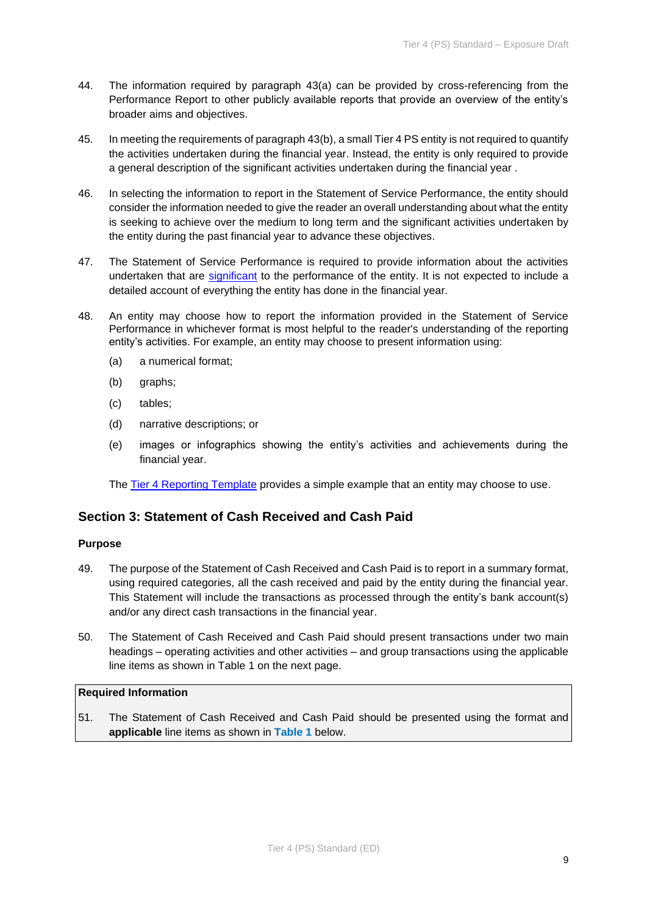- 44. The information required by paragraph 43(a) can be provided by cross-referencing from the Performance Report to other publicly available reports that provide an overview of the entity's broader aims and objectives.
- 45. In meeting the requirements of paragraph 43(b), a small Tier 4 PS entity is not required to quantify the activities undertaken during the financial year. Instead, the entity is only required to provide a general description of the significant activities undertaken during the financial year .
- 46. In selecting the information to report in the Statement of Service Performance, the entity should consider the information needed to give the reader an overall understanding about what the entity is seeking to achieve over the medium to long term and the significant activities undertaken by the entity during the past financial year to advance these objectives.
- 47. The Statement of Service Performance is required to provide information about the activities undertaken that are [significant](#page-18-1) to the performance of the entity. It is not expected to include a detailed account of everything the entity has done in the financial year.
- 48. An entity may choose how to report the information provided in the Statement of Service Performance in whichever format is most helpful to the reader's understanding of the reporting entity's activities. For example, an entity may choose to present information using:
	- (a) a numerical format;
	- (b) graphs;
	- (c) tables;
	- (d) narrative descriptions; or
	- (e) images or infographics showing the entity's activities and achievements during the financial year.

The [Tier 4 Reporting Template](https://www.xrb.govt.nz/standards/accounting-standards/reporting-templates/) provides a simple example that an entity may choose to use.

# **Section 3: Statement of Cash Received and Cash Paid**

### **Purpose**

- 49. The purpose of the Statement of Cash Received and Cash Paid is to report in a summary format, using required categories, all the cash received and paid by the entity during the financial year. This Statement will include the transactions as processed through the entity's bank account(s) and/or any direct cash transactions in the financial year.
- 50. The Statement of Cash Received and Cash Paid should present transactions under two main headings – operating activities and other activities – and group transactions using the applicable line items as shown in Table 1 on the next page.

### **Required Information**

51. The Statement of Cash Received and Cash Paid should be presented using the format and **applicable** line items as shown in **Table 1** below.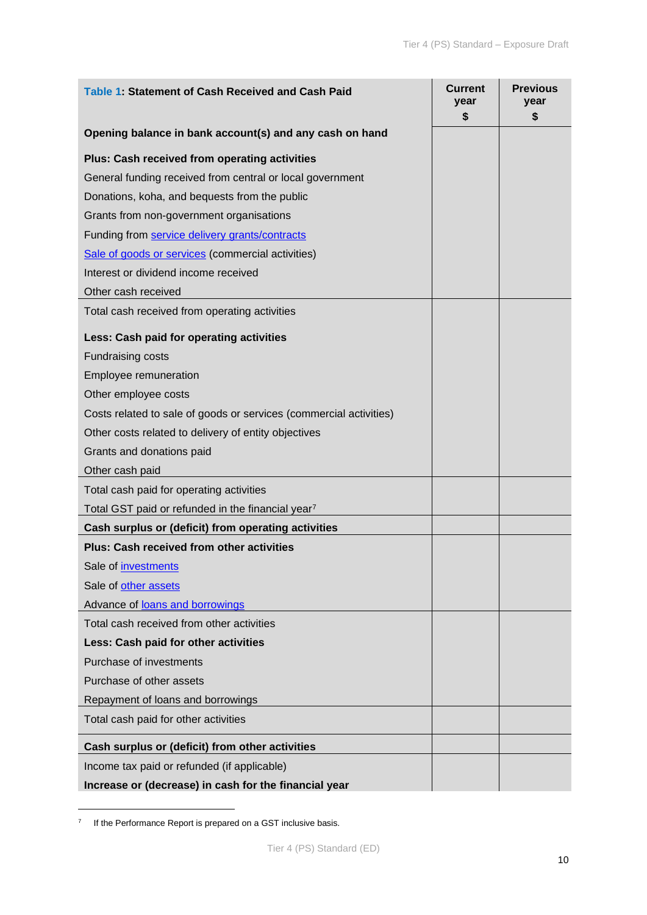| Table 1: Statement of Cash Received and Cash Paid                  | <b>Current</b><br>year<br>\$ | <b>Previous</b><br>year<br>\$ |
|--------------------------------------------------------------------|------------------------------|-------------------------------|
| Opening balance in bank account(s) and any cash on hand            |                              |                               |
| Plus: Cash received from operating activities                      |                              |                               |
| General funding received from central or local government          |                              |                               |
| Donations, koha, and bequests from the public                      |                              |                               |
| Grants from non-government organisations                           |                              |                               |
| Funding from service delivery grants/contracts                     |                              |                               |
| Sale of goods or services (commercial activities)                  |                              |                               |
| Interest or dividend income received                               |                              |                               |
| Other cash received                                                |                              |                               |
| Total cash received from operating activities                      |                              |                               |
| Less: Cash paid for operating activities                           |                              |                               |
| <b>Fundraising costs</b>                                           |                              |                               |
| <b>Employee remuneration</b>                                       |                              |                               |
| Other employee costs                                               |                              |                               |
| Costs related to sale of goods or services (commercial activities) |                              |                               |
| Other costs related to delivery of entity objectives               |                              |                               |
| Grants and donations paid                                          |                              |                               |
| Other cash paid                                                    |                              |                               |
| Total cash paid for operating activities                           |                              |                               |
| Total GST paid or refunded in the financial year <sup>7</sup>      |                              |                               |
| Cash surplus or (deficit) from operating activities                |                              |                               |
| <b>Plus: Cash received from other activities</b>                   |                              |                               |
| Sale of <i>investments</i>                                         |                              |                               |
| Sale of other assets                                               |                              |                               |
| Advance of loans and borrowings                                    |                              |                               |
| Total cash received from other activities                          |                              |                               |
| Less: Cash paid for other activities                               |                              |                               |
| Purchase of investments                                            |                              |                               |
| Purchase of other assets                                           |                              |                               |
| Repayment of loans and borrowings                                  |                              |                               |
| Total cash paid for other activities                               |                              |                               |
| Cash surplus or (deficit) from other activities                    |                              |                               |
| Income tax paid or refunded (if applicable)                        |                              |                               |
| Increase or (decrease) in cash for the financial year              |                              |                               |

 $7$  If the Performance Report is prepared on a GST inclusive basis.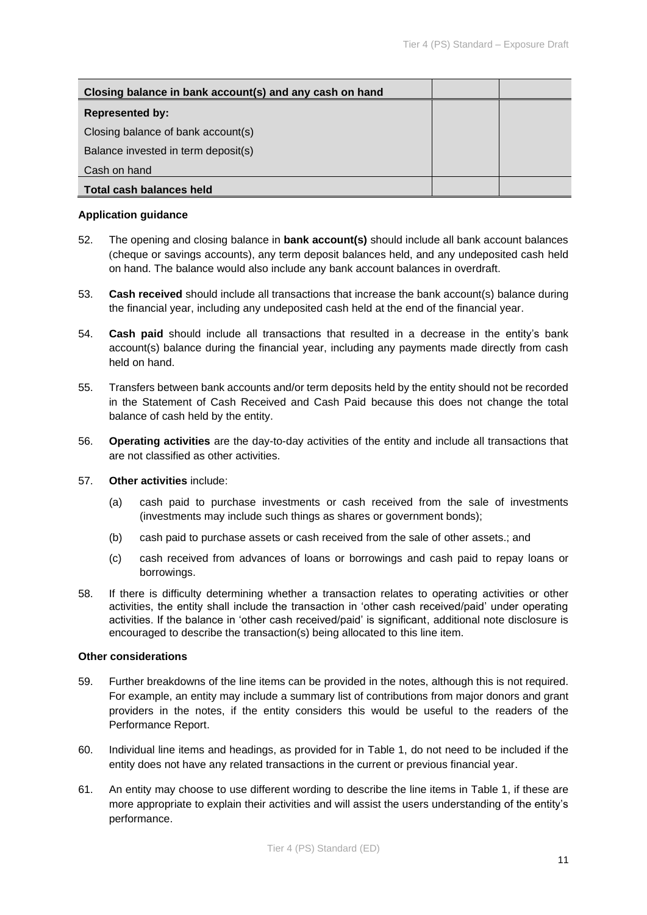| Closing balance in bank account(s) and any cash on hand |  |
|---------------------------------------------------------|--|
| <b>Represented by:</b>                                  |  |
| Closing balance of bank account(s)                      |  |
| Balance invested in term deposit(s)                     |  |
| Cash on hand                                            |  |
| <b>Total cash balances held</b>                         |  |

### **Application guidance**

- 52. The opening and closing balance in **bank account(s)** should include all bank account balances (cheque or savings accounts), any term deposit balances held, and any undeposited cash held on hand. The balance would also include any bank account balances in overdraft.
- 53. **Cash received** should include all transactions that increase the bank account(s) balance during the financial year, including any undeposited cash held at the end of the financial year.
- 54. **Cash paid** should include all transactions that resulted in a decrease in the entity's bank account(s) balance during the financial year, including any payments made directly from cash held on hand.
- 55. Transfers between bank accounts and/or term deposits held by the entity should not be recorded in the Statement of Cash Received and Cash Paid because this does not change the total balance of cash held by the entity.
- 56. **Operating activities** are the day-to-day activities of the entity and include all transactions that are not classified as other activities.
- 57. **Other activities** include:
	- (a) cash paid to purchase investments or cash received from the sale of investments (investments may include such things as shares or government bonds);
	- (b) cash paid to purchase assets or cash received from the sale of other assets.; and
	- (c) cash received from advances of loans or borrowings and cash paid to repay loans or borrowings.
- 58. If there is difficulty determining whether a transaction relates to operating activities or other activities, the entity shall include the transaction in 'other cash received/paid' under operating activities. If the balance in 'other cash received/paid' is significant, additional note disclosure is encouraged to describe the transaction(s) being allocated to this line item.

### **Other considerations**

- 59. Further breakdowns of the line items can be provided in the notes, although this is not required. For example, an entity may include a summary list of contributions from major donors and grant providers in the notes, if the entity considers this would be useful to the readers of the Performance Report.
- 60. Individual line items and headings, as provided for in Table 1, do not need to be included if the entity does not have any related transactions in the current or previous financial year.
- 61. An entity may choose to use different wording to describe the line items in Table 1, if these are more appropriate to explain their activities and will assist the users understanding of the entity's performance.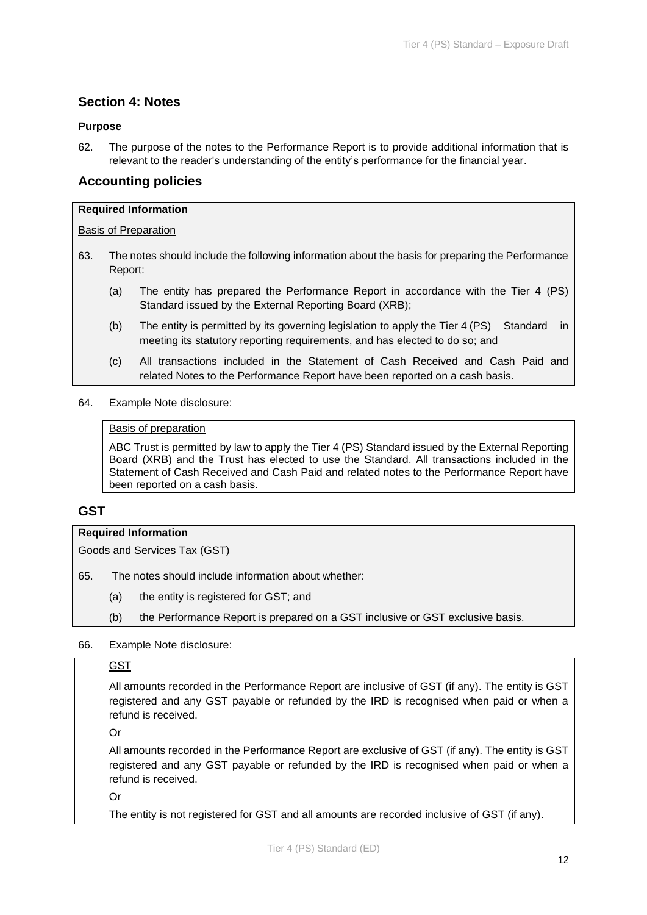# **Section 4: Notes**

### **Purpose**

62. The purpose of the notes to the Performance Report is to provide additional information that is relevant to the reader's understanding of the entity's performance for the financial year.

# **Accounting policies**

### **Required Information**

### Basis of Preparation

- 63. The notes should include the following information about the basis for preparing the Performance Report:
	- (a) The entity has prepared the Performance Report in accordance with the Tier 4 (PS) Standard issued by the External Reporting Board (XRB);
	- (b) The entity is permitted by its governing legislation to apply the Tier 4 (PS) Standard in meeting its statutory reporting requirements, and has elected to do so; and
	- (c) All transactions included in the Statement of Cash Received and Cash Paid and related Notes to the Performance Report have been reported on a cash basis.
- 64. Example Note disclosure:

### Basis of preparation

ABC Trust is permitted by law to apply the Tier 4 (PS) Standard issued by the External Reporting Board (XRB) and the Trust has elected to use the Standard. All transactions included in the Statement of Cash Received and Cash Paid and related notes to the Performance Report have been reported on a cash basis.

# **GST**

### **Required Information**

Goods and Services Tax (GST)

65. The notes should include information about whether:

- (a) the entity is registered for GST; and
- (b) the Performance Report is prepared on a GST inclusive or GST exclusive basis.
- 66. Example Note disclosure:

## GST

All amounts recorded in the Performance Report are inclusive of GST (if any). The entity is GST registered and any GST payable or refunded by the IRD is recognised when paid or when a refund is received.

Or

All amounts recorded in the Performance Report are exclusive of GST (if any). The entity is GST registered and any GST payable or refunded by the IRD is recognised when paid or when a refund is received.

Or

The entity is not registered for GST and all amounts are recorded inclusive of GST (if any).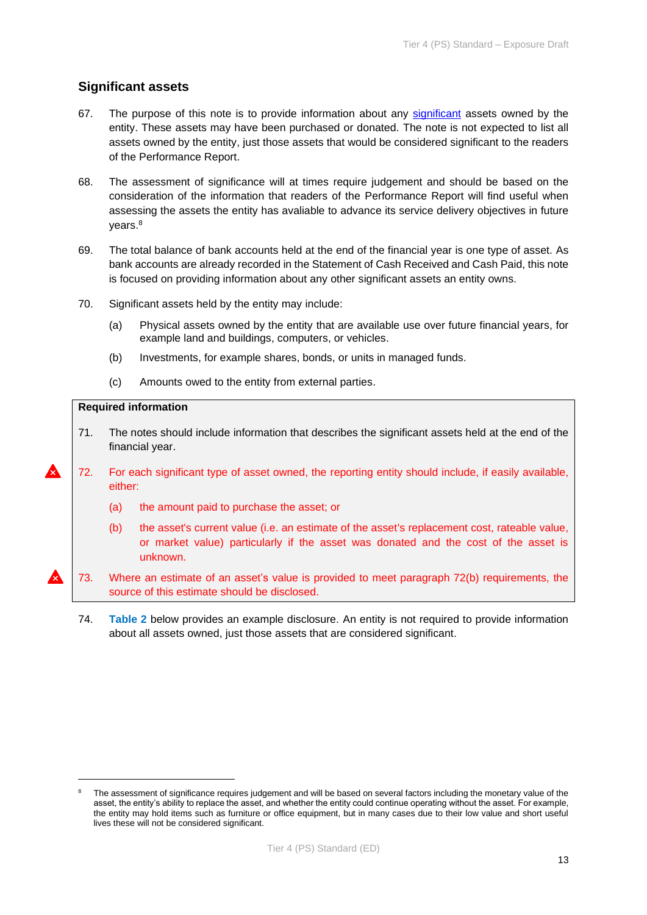# **Significant assets**

- 67. The purpose of this note is to provide information about any [significant](#page-18-1) assets owned by the entity. These assets may have been purchased or donated. The note is not expected to list all assets owned by the entity, just those assets that would be considered significant to the readers of the Performance Report.
- 68. The assessment of significance will at times require judgement and should be based on the consideration of the information that readers of the Performance Report will find useful when assessing the assets the entity has avaliable to advance its service delivery objectives in future years. 8
- 69. The total balance of bank accounts held at the end of the financial year is one type of asset. As bank accounts are already recorded in the Statement of Cash Received and Cash Paid, this note is focused on providing information about any other significant assets an entity owns.
- 70. Significant assets held by the entity may include:
	- (a) Physical assets owned by the entity that are available use over future financial years, for example land and buildings, computers, or vehicles.
	- (b) Investments, for example shares, bonds, or units in managed funds.
	- (c) Amounts owed to the entity from external parties.

### **Required information**

- 71. The notes should include information that describes the significant assets held at the end of the financial year.
- 72. For each significant type of asset owned, the reporting entity should include, if easily available, either:
	- (a) the amount paid to purchase the asset; or
	- (b) the asset's current value (i.e. an estimate of the asset's replacement cost, rateable value, or market value) particularly if the asset was donated and the cost of the asset is unknown.
- 73. Where an estimate of an asset's value is provided to meet paragraph 72(b) requirements, the source of this estimate should be disclosed.
	- 74. **Table 2** below provides an example disclosure. An entity is not required to provide information about all assets owned, just those assets that are considered significant.

The assessment of significance requires judgement and will be based on several factors including the monetary value of the asset, the entity's ability to replace the asset, and whether the entity could continue operating without the asset. For example, the entity may hold items such as furniture or office equipment, but in many cases due to their low value and short useful lives these will not be considered significant.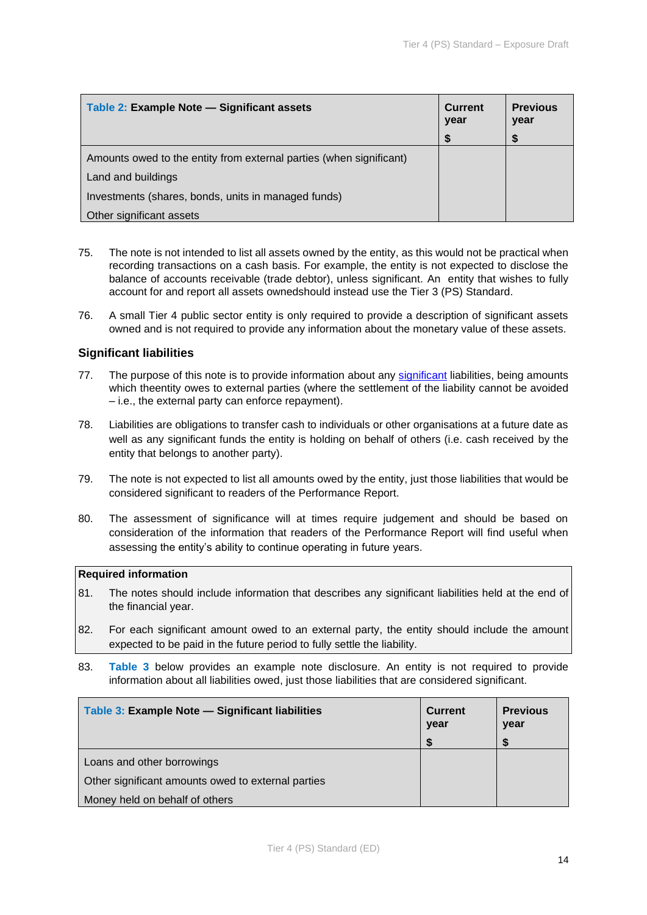| Table 2: Example Note - Significant assets                          | <b>Current</b><br>year | <b>Previous</b><br>year |
|---------------------------------------------------------------------|------------------------|-------------------------|
|                                                                     |                        |                         |
| Amounts owed to the entity from external parties (when significant) |                        |                         |
| Land and buildings                                                  |                        |                         |
| Investments (shares, bonds, units in managed funds)                 |                        |                         |
| Other significant assets                                            |                        |                         |

- 75. The note is not intended to list all assets owned by the entity, as this would not be practical when recording transactions on a cash basis. For example, the entity is not expected to disclose the balance of accounts receivable (trade debtor), unless significant. An entity that wishes to fully account for and report all assets ownedshould instead use the Tier 3 (PS) Standard.
- 76. A small Tier 4 public sector entity is only required to provide a description of significant assets owned and is not required to provide any information about the monetary value of these assets.

# **Significant liabilities**

- 77. The purpose of this note is to provide information about any [significant](#page-18-1) liabilities, being amounts which theentity owes to external parties (where the settlement of the liability cannot be avoided – i.e., the external party can enforce repayment).
- 78. Liabilities are obligations to transfer cash to individuals or other organisations at a future date as well as any significant funds the entity is holding on behalf of others (i.e. cash received by the entity that belongs to another party).
- 79. The note is not expected to list all amounts owed by the entity, just those liabilities that would be considered significant to readers of the Performance Report.
- 80. The assessment of significance will at times require judgement and should be based on consideration of the information that readers of the Performance Report will find useful when assessing the entity's ability to continue operating in future years.

### **Required information**

- 81. The notes should include information that describes any significant liabilities held at the end of the financial year.
- 82. For each significant amount owed to an external party, the entity should include the amount expected to be paid in the future period to fully settle the liability.
- 83. **Table 3** below provides an example note disclosure. An entity is not required to provide information about all liabilities owed, just those liabilities that are considered significant.

| Table 3: Example Note - Significant liabilities    | <b>Current</b><br>year | <b>Previous</b><br>year |
|----------------------------------------------------|------------------------|-------------------------|
|                                                    |                        |                         |
| Loans and other borrowings                         |                        |                         |
| Other significant amounts owed to external parties |                        |                         |
| Money held on behalf of others                     |                        |                         |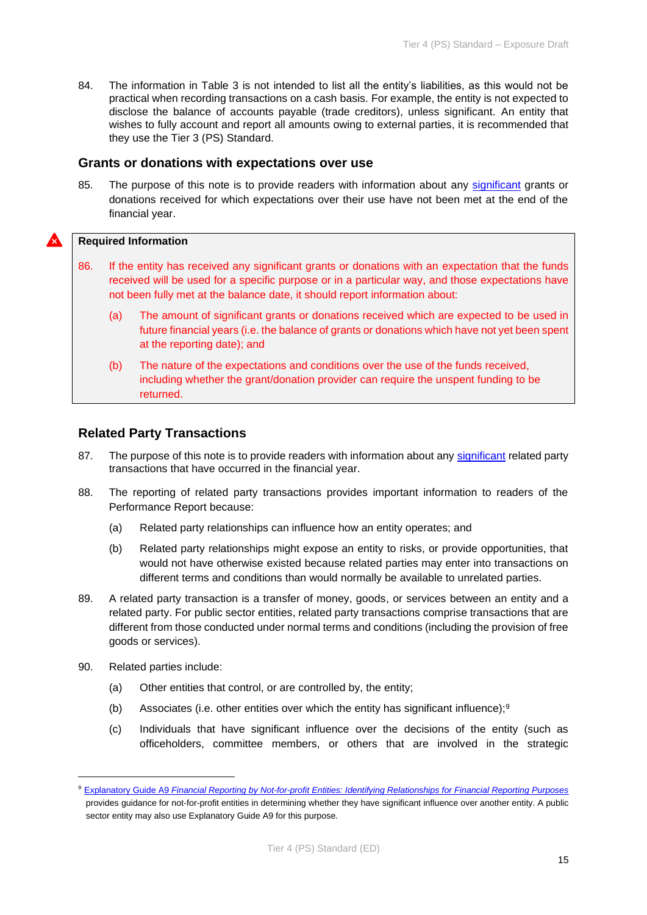84. The information in Table 3 is not intended to list all the entity's liabilities, as this would not be practical when recording transactions on a cash basis. For example, the entity is not expected to disclose the balance of accounts payable (trade creditors), unless significant. An entity that wishes to fully account and report all amounts owing to external parties, it is recommended that they use the Tier 3 (PS) Standard.

# **Grants or donations with expectations over use**

85. The purpose of this note is to provide readers with information about any [significant](#page-18-1) grants or donations received for which expectations over their use have not been met at the end of the financial year.

### **Required Information**

- 86. If the entity has received any significant grants or donations with an expectation that the funds received will be used for a specific purpose or in a particular way, and those expectations have not been fully met at the balance date, it should report information about:
	- (a) The amount of significant grants or donations received which are expected to be used in future financial years (i.e. the balance of grants or donations which have not yet been spent at the reporting date); and
	- (b) The nature of the expectations and conditions over the use of the funds received, including whether the grant/donation provider can require the unspent funding to be returned.

# **Related Party Transactions**

- 87. The purpose of this note is to provide readers with information about any [significant](#page-18-1) related party transactions that have occurred in the financial year.
- 88. The reporting of related party transactions provides important information to readers of the Performance Report because:
	- (a) Related party relationships can influence how an entity operates; and
	- (b) Related party relationships might expose an entity to risks, or provide opportunities, that would not have otherwise existed because related parties may enter into transactions on different terms and conditions than would normally be available to unrelated parties.
- 89. A related party transaction is a transfer of money, goods, or services between an entity and a related party. For public sector entities, related party transactions comprise transactions that are different from those conducted under normal terms and conditions (including the provision of free goods or services).
- 90. Related parties include:
	- (a) Other entities that control, or are controlled by, the entity;
	- (b) Associates (i.e. other entities over which the entity has significant influence);<sup>9</sup>
	- (c) Individuals that have significant influence over the decisions of the entity (such as officeholders, committee members, or others that are involved in the strategic

<sup>9</sup> Explanatory Guide A9 *[Financial Reporting by Not-for-profit Entities: Identifying Relationships for Financial Reporting Purposes](https://www.xrb.govt.nz/accounting-standards/not-for-profit/pbe-sfr-c-nfp/)* provides guidance for not-for-profit entities in determining whether they have significant influence over another entity. A public sector entity may also use Explanatory Guide A9 for this purpose.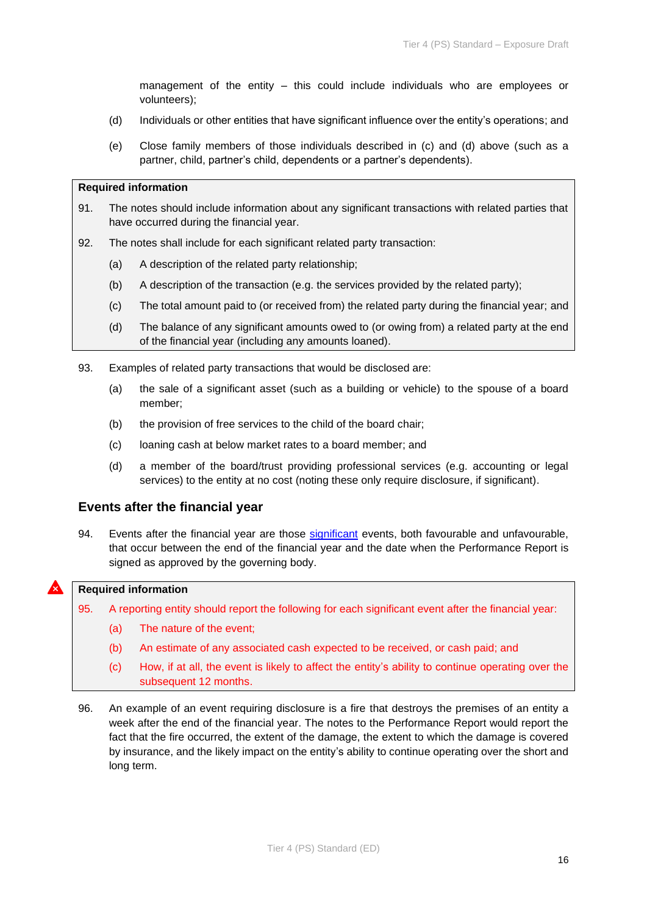management of the entity – this could include individuals who are employees or volunteers);

- (d) Individuals or other entities that have significant influence over the entity's operations; and
- (e) Close family members of those individuals described in (c) and (d) above (such as a partner, child, partner's child, dependents or a partner's dependents).

### **Required information**

- 91. The notes should include information about any significant transactions with related parties that have occurred during the financial year.
- 92. The notes shall include for each significant related party transaction:
	- (a) A description of the related party relationship;
	- (b) A description of the transaction (e.g. the services provided by the related party);
	- (c) The total amount paid to (or received from) the related party during the financial year; and
	- (d) The balance of any significant amounts owed to (or owing from) a related party at the end of the financial year (including any amounts loaned).
- 93. Examples of related party transactions that would be disclosed are:
	- (a) the sale of a significant asset (such as a building or vehicle) to the spouse of a board member;
	- (b) the provision of free services to the child of the board chair;
	- (c) loaning cash at below market rates to a board member; and
	- (d) a member of the board/trust providing professional services (e.g. accounting or legal services) to the entity at no cost (noting these only require disclosure, if significant).

# **Events after the financial year**

94. Events after the financial year are those [significant](#page-18-1) events, both favourable and unfavourable, that occur between the end of the financial year and the date when the Performance Report is signed as approved by the governing body.

## **Required information**

95. A reporting entity should report the following for each significant event after the financial year:

- (a) The nature of the event;
- (b) An estimate of any associated cash expected to be received, or cash paid; and
- (c) How, if at all, the event is likely to affect the entity's ability to continue operating over the subsequent 12 months.
- 96. An example of an event requiring disclosure is a fire that destroys the premises of an entity a week after the end of the financial year. The notes to the Performance Report would report the fact that the fire occurred, the extent of the damage, the extent to which the damage is covered by insurance, and the likely impact on the entity's ability to continue operating over the short and long term.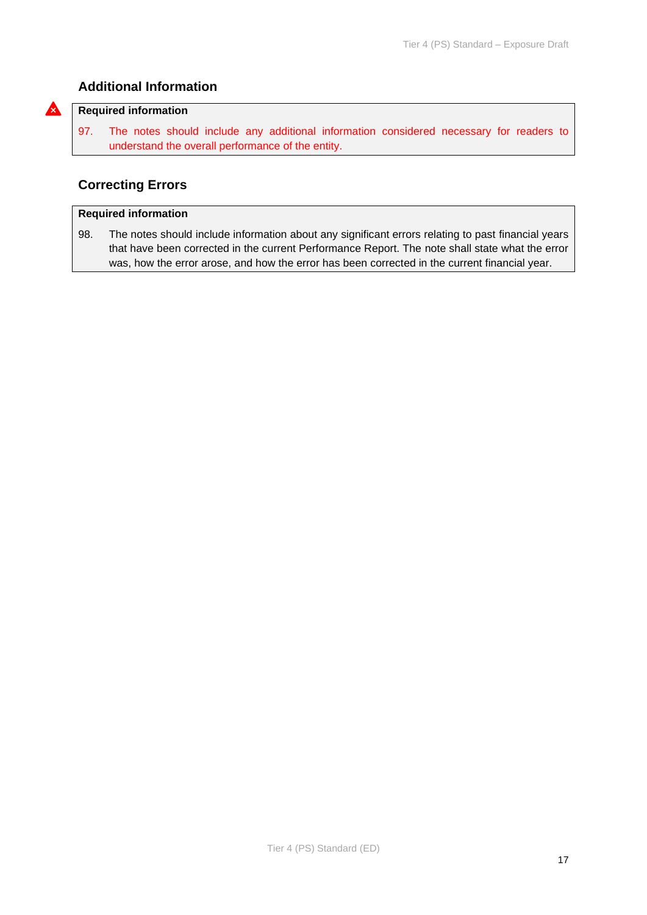# **Additional Information**

#### **Required information**

 $\boldsymbol{\lambda}$ 

97. The notes should include any additional information considered necessary for readers to understand the overall performance of the entity.

# **Correcting Errors**

## **Required information**

98. The notes should include information about any significant errors relating to past financial years that have been corrected in the current Performance Report. The note shall state what the error was, how the error arose, and how the error has been corrected in the current financial year.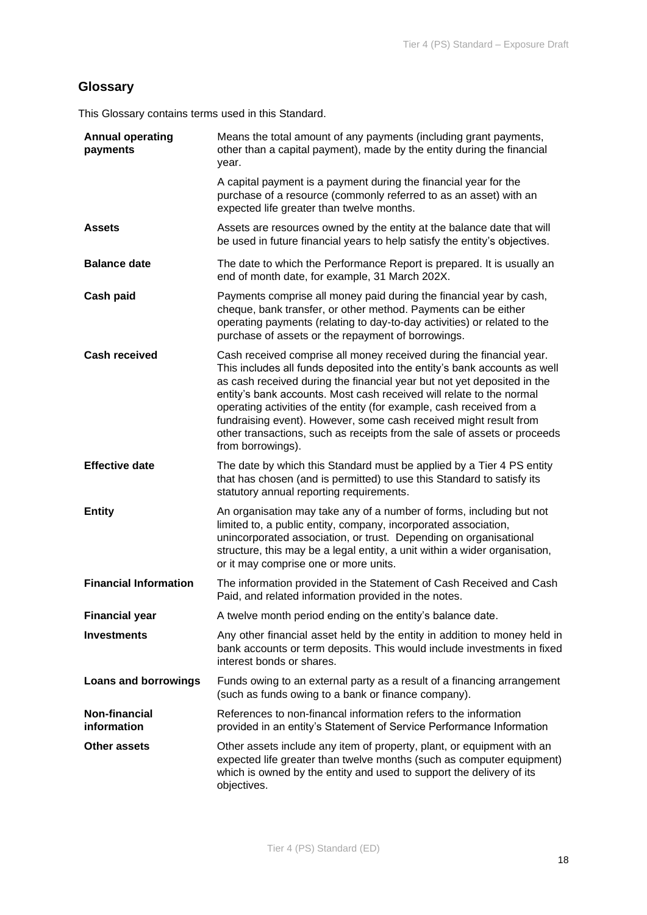# <span id="page-17-0"></span>**Glossary**

This Glossary contains terms used in this Standard.

<span id="page-17-4"></span><span id="page-17-3"></span><span id="page-17-2"></span><span id="page-17-1"></span>

| <b>Annual operating</b><br>payments | Means the total amount of any payments (including grant payments,<br>other than a capital payment), made by the entity during the financial<br>year.                                                                                                                                                                                                                                                                                                                                                                                                |
|-------------------------------------|-----------------------------------------------------------------------------------------------------------------------------------------------------------------------------------------------------------------------------------------------------------------------------------------------------------------------------------------------------------------------------------------------------------------------------------------------------------------------------------------------------------------------------------------------------|
|                                     | A capital payment is a payment during the financial year for the<br>purchase of a resource (commonly referred to as an asset) with an<br>expected life greater than twelve months.                                                                                                                                                                                                                                                                                                                                                                  |
| <b>Assets</b>                       | Assets are resources owned by the entity at the balance date that will<br>be used in future financial years to help satisfy the entity's objectives.                                                                                                                                                                                                                                                                                                                                                                                                |
| <b>Balance date</b>                 | The date to which the Performance Report is prepared. It is usually an<br>end of month date, for example, 31 March 202X.                                                                                                                                                                                                                                                                                                                                                                                                                            |
| Cash paid                           | Payments comprise all money paid during the financial year by cash,<br>cheque, bank transfer, or other method. Payments can be either<br>operating payments (relating to day-to-day activities) or related to the<br>purchase of assets or the repayment of borrowings.                                                                                                                                                                                                                                                                             |
| <b>Cash received</b>                | Cash received comprise all money received during the financial year.<br>This includes all funds deposited into the entity's bank accounts as well<br>as cash received during the financial year but not yet deposited in the<br>entity's bank accounts. Most cash received will relate to the normal<br>operating activities of the entity (for example, cash received from a<br>fundraising event). However, some cash received might result from<br>other transactions, such as receipts from the sale of assets or proceeds<br>from borrowings). |
| <b>Effective date</b>               | The date by which this Standard must be applied by a Tier 4 PS entity<br>that has chosen (and is permitted) to use this Standard to satisfy its<br>statutory annual reporting requirements.                                                                                                                                                                                                                                                                                                                                                         |
| <b>Entity</b>                       | An organisation may take any of a number of forms, including but not<br>limited to, a public entity, company, incorporated association,<br>unincorporated association, or trust. Depending on organisational<br>structure, this may be a legal entity, a unit within a wider organisation,<br>or it may comprise one or more units.                                                                                                                                                                                                                 |
| <b>Financial Information</b>        | The information provided in the Statement of Cash Received and Cash<br>Paid, and related information provided in the notes.                                                                                                                                                                                                                                                                                                                                                                                                                         |
| <b>Financial year</b>               | A twelve month period ending on the entity's balance date.                                                                                                                                                                                                                                                                                                                                                                                                                                                                                          |
| <b>Investments</b>                  | Any other financial asset held by the entity in addition to money held in<br>bank accounts or term deposits. This would include investments in fixed<br>interest bonds or shares.                                                                                                                                                                                                                                                                                                                                                                   |
| <b>Loans and borrowings</b>         | Funds owing to an external party as a result of a financing arrangement<br>(such as funds owing to a bank or finance company).                                                                                                                                                                                                                                                                                                                                                                                                                      |
| Non-financial<br>information        | References to non-financal information refers to the information<br>provided in an entity's Statement of Service Performance Information                                                                                                                                                                                                                                                                                                                                                                                                            |
| <b>Other assets</b>                 | Other assets include any item of property, plant, or equipment with an<br>expected life greater than twelve months (such as computer equipment)<br>which is owned by the entity and used to support the delivery of its<br>objectives.                                                                                                                                                                                                                                                                                                              |